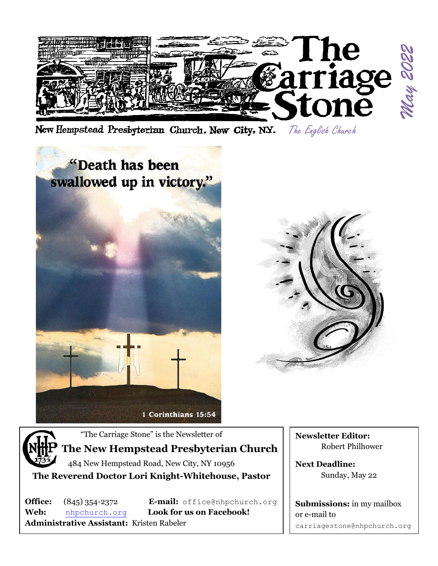

New Hempstead Presbyterian Church, New City, N.Y. The English Church





"The Carriage Stone" is the Newsletter of

## **The New Hempstead Presbyterian Church**

484 New Hempstead Road, New City, NY 10956 **The Reverend Doctor Lori Knight-Whitehouse, Pastor**

**Web:** [nhpchurch.org](http://nhpchurch.org/) **Look for us on Facebook! Administrative Assistant:** Kristen Rabeler

**Office:** (845) 354-2372 **E-mail:** [office@nhpchurch.org](mailto:NHPC2@yahoo.com)

**Newsletter Editor:** Robert Philhower

**Next Deadline:** Sunday, May 22

**Submissions:** in my mailbox or e-mail to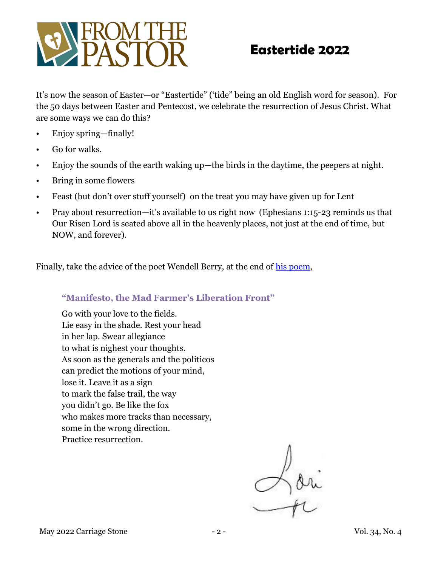

# **Eastertide 2022**

It's now the season of Easter—or "Eastertide" ('tide" being an old English word for season). For the 50 days between Easter and Pentecost, we celebrate the resurrection of Jesus Christ. What are some ways we can do this?

- Enjoy spring—finally!
- Go for walks.
- Enjoy the sounds of the earth waking up—the birds in the daytime, the peepers at night.
- Bring in some flowers
- Feast (but don't over stuff yourself) on the treat you may have given up for Lent
- Pray about resurrection—it's available to us right now (Ephesians 1:15-23 reminds us that Our Risen Lord is seated above all in the heavenly places, not just at the end of time, but NOW, and forever).

Finally, take the advice of the poet Wendell Berry, at the end of [his poem,](https://www.context.org/iclib/ic30/berry/)

#### **"Manifesto, the Mad Farmer's Liberation Front"**

Go with your love to the fields. Lie easy in the shade. Rest your head in her lap. Swear allegiance to what is nighest your thoughts. As soon as the generals and the politicos can predict the motions of your mind, lose it. Leave it as a sign to mark the false trail, the way you didn't go. Be like the fox who makes more tracks than necessary, some in the wrong direction. Practice resurrection.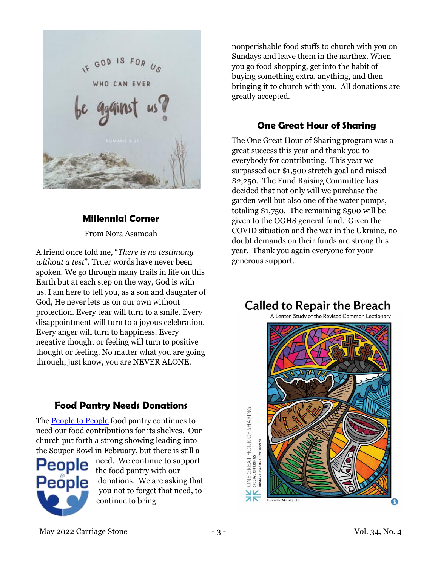

### **Millennial Corner**

From Nora Asamoah

A friend once told me, "*There is no testimony without a test*". Truer words have never been spoken. We go through many trails in life on this Earth but at each step on the way, God is with us. I am here to tell you, as a son and daughter of God, He never lets us on our own without protection. Every tear will turn to a smile. Every disappointment will turn to a joyous celebration. Every anger will turn to happiness. Every negative thought or feeling will turn to positive thought or feeling. No matter what you are going through, just know, you are NEVER ALONE.

### **Food Pantry Needs Donations**

The **People to People** food pantry continues to need our food contributions for its shelves. Our church put forth a strong showing leading into the Souper Bowl in February, but there is still a



need. We continue to support the food pantry with our donations. We are asking that you not to forget that need, to continue to bring

nonperishable food stuffs to church with you on Sundays and leave them in the narthex. When you go food shopping, get into the habit of buying something extra, anything, and then bringing it to church with you. All donations are greatly accepted.

### **One Great Hour of Sharing**

The One Great Hour of Sharing program was a great success this year and thank you to everybody for contributing. This year we surpassed our \$1,500 stretch goal and raised \$2,250. The Fund Raising Committee has decided that not only will we purchase the garden well but also one of the water pumps, totaling \$1,750. The remaining \$500 will be given to the OGHS general fund. Given the COVID situation and the war in the Ukraine, no doubt demands on their funds are strong this year. Thank you again everyone for your generous support.